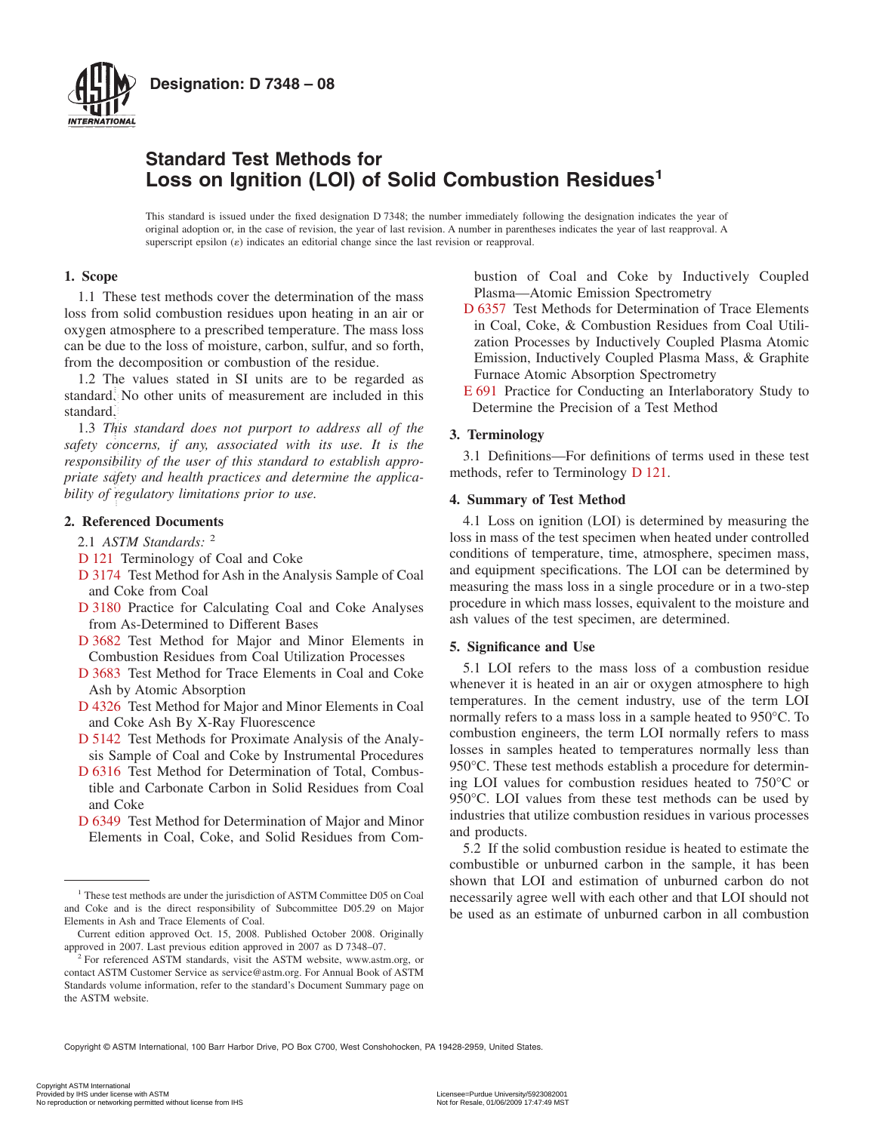

### **Designation: D 7348 – 08**

## **Standard Test Methods for Loss on Ignition (LOI) of Solid Combustion Residues<sup>1</sup>**

This standard is issued under the fixed designation D 7348; the number immediately following the designation indicates the year of original adoption or, in the case of revision, the year of last revision. A number in parentheses indicates the year of last reapproval. A superscript epsilon  $(\varepsilon)$  indicates an editorial change since the last revision or reapproval.

#### **1. Scope**

1.1 These test methods cover the determination of the mass loss from solid combustion residues upon heating in an air or oxygen atmosphere to a prescribed temperature. The mass loss can be due to the loss of moisture, carbon, sulfur, and so forth, from the decomposition or combustion of the residue.

1.2 The values stated in SI units are to be regarded as standard. No other units of measurement are included in this standard.

1.3 *This standard does not purport to address all of the safety concerns, if any, associated with its use. It is the responsibility of the user of this standard to establish appropriate safety and health practices and determine the applicability of regulatory limitations prior to use.* From the same of the same of the constraint of the constraint of the same of the standard. No other units of measurement are included in this second in Samman of the same of this standard does not purport to eddens all of

#### **2. Referenced Documents**

2.1 *ASTM Standards:* <sup>2</sup>

- [D 121](#page-0-0) Terminology of Coal and Coke
- [D 3174](#page-1-0) Test Method for Ash in the Analysis Sample of Coal and Coke from Coal
- [D 3180](#page-2-0) Practice for Calculating Coal and Coke Analyses from As-Determined to Different Bases
- [D 3682](#page-1-1) Test Method for Major and Minor Elements in Combustion Residues from Coal Utilization Processes
- [D 3683](#page-1-2) Test Method for Trace Elements in Coal and Coke Ash by Atomic Absorption
- [D 4326](#page-1-1) Test Method for Major and Minor Elements in Coal and Coke Ash By X-Ray Fluorescence
- [D 5142](#page-1-0) Test Methods for Proximate Analysis of the Analysis Sample of Coal and Coke by Instrumental Procedures
- [D 6316](#page-1-3) Test Method for Determination of Total, Combustible and Carbonate Carbon in Solid Residues from Coal and Coke
- [D 6349](#page-1-1) Test Method for Determination of Major and Minor Elements in Coal, Coke, and Solid Residues from Com-

bustion of Coal and Coke by Inductively Coupled Plasma—Atomic Emission Spectrometry

- <span id="page-0-9"></span>[D 6357](#page-1-2) Test Methods for Determination of Trace Elements in Coal, Coke, & Combustion Residues from Coal Utilization Processes by Inductively Coupled Plasma Atomic Emission, Inductively Coupled Plasma Mass, & Graphite Furnace Atomic Absorption Spectrometry
- <span id="page-0-11"></span>[E 691](#page-3-0) Practice for Conducting an Interlaboratory Study to Determine the Precision of a Test Method

#### **3. Terminology**

<span id="page-0-0"></span>3.1 Definitions—For definitions of terms used in these test methods, refer to Terminology [D 121.](#page-0-1)

#### **4. Summary of Test Method**

<span id="page-0-3"></span><span id="page-0-1"></span>4.1 Loss on ignition (LOI) is determined by measuring the loss in mass of the test specimen when heated under controlled conditions of temperature, time, atmosphere, specimen mass, and equipment specifications. The LOI can be determined by measuring the mass loss in a single procedure or in a two-step procedure in which mass losses, equivalent to the moisture and ash values of the test specimen, are determined.

#### <span id="page-0-10"></span><span id="page-0-5"></span>**5. Significance and Use**

<span id="page-0-8"></span><span id="page-0-6"></span><span id="page-0-4"></span>5.1 LOI refers to the mass loss of a combustion residue whenever it is heated in an air or oxygen atmosphere to high temperatures. In the cement industry, use of the term LOI normally refers to a mass loss in a sample heated to 950°C. To combustion engineers, the term LOI normally refers to mass losses in samples heated to temperatures normally less than 950°C. These test methods establish a procedure for determining LOI values for combustion residues heated to 750°C or 950°C. LOI values from these test methods can be used by industries that utilize combustion residues in various processes and products.

<span id="page-0-7"></span><span id="page-0-2"></span>5.2 If the solid combustion residue is heated to estimate the combustible or unburned carbon in the sample, it has been shown that LOI and estimation of unburned carbon do not necessarily agree well with each other and that LOI should not be used as an estimate of unburned carbon in all combustion

Copyright © ASTM International, 100 Barr Harbor Drive, PO Box C700, West Conshohocken, PA 19428-2959, United States.

<sup>&</sup>lt;sup>1</sup> These test methods are under the jurisdiction of ASTM Committee D05 on Coal and Coke and is the direct responsibility of Subcommittee D05.29 on Major Elements in Ash and Trace Elements of Coal.

Current edition approved Oct. 15, 2008. Published October 2008. Originally approved in 2007. Last previous edition approved in 2007 as D 7348–07.

 $\hat{e}^2$  For referenced ASTM standards, visit the ASTM website, www.astm.org, or contact ASTM Customer Service as service@astm.org. For Annual Book of ASTM Standards volume information, refer to the standard's Document Summary page on the ASTM website.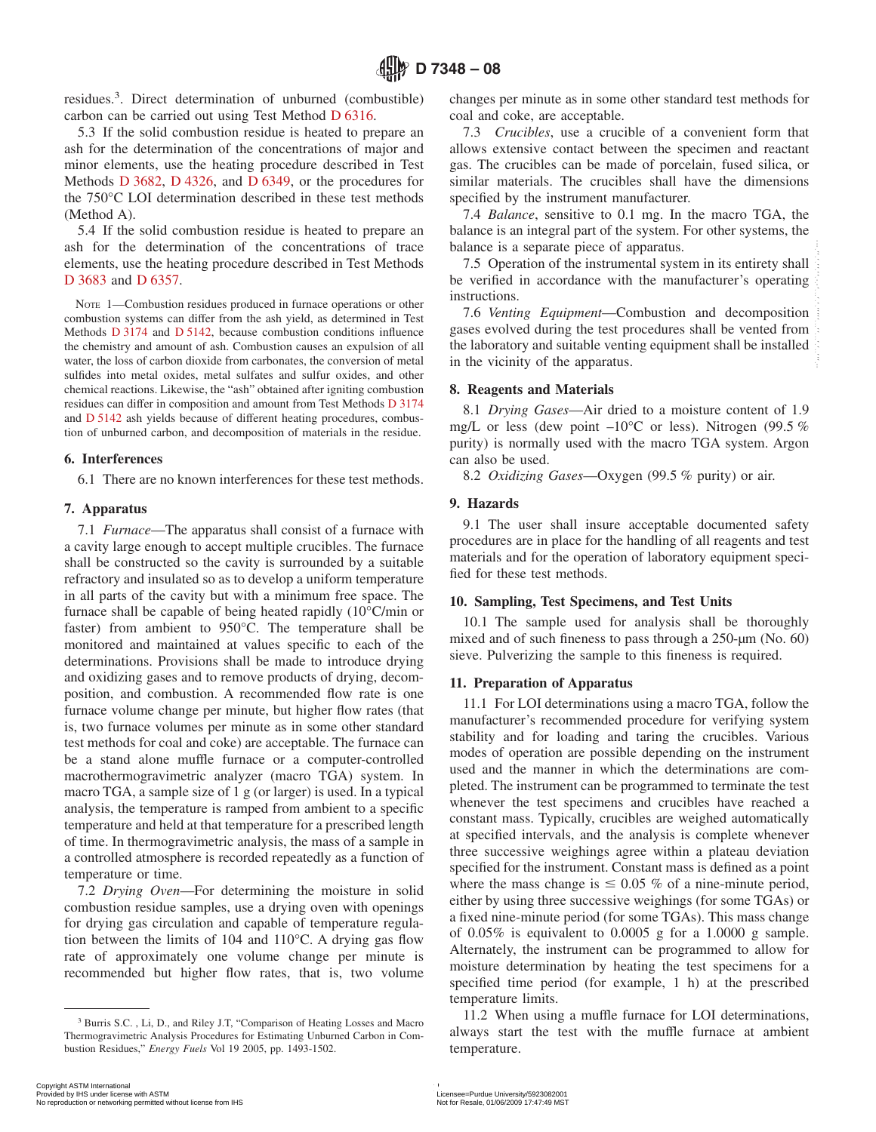residues.<sup>3</sup>. Direct determination of unburned (combustible) carbon can be carried out using Test Method [D 6316.](#page-0-2)

5.3 If the solid combustion residue is heated to prepare an ash for the determination of the concentrations of major and minor elements, use the heating procedure described in Test Methods [D 3682,](#page-2-1) [D 4326,](#page-2-1) and [D 6349,](#page-2-1) or the procedures for the 750°C LOI determination described in these test methods (Method A).

5.4 If the solid combustion residue is heated to prepare an ash for the determination of the concentrations of trace elements, use the heating procedure described in Test Methods [D 3683](#page-2-2) and [D 6357.](#page-2-2)

NOTE 1—Combustion residues produced in furnace operations or other combustion systems can differ from the ash yield, as determined in Test Methods [D 3174](#page-1-4) and [D 5142,](#page-1-5) because combustion conditions influence the chemistry and amount of ash. Combustion causes an expulsion of all water, the loss of carbon dioxide from carbonates, the conversion of metal sulfides into metal oxides, metal sulfates and sulfur oxides, and other chemical reactions. Likewise, the "ash" obtained after igniting combustion residues can differ in composition and amount from Test Methods [D 3174](#page-0-3) and [D 5142](#page-0-4) ash yields because of different heating procedures, combustion of unburned carbon, and decomposition of materials in the residue.

#### **6. Interferences**

6.1 There are no known interferences for these test methods.

#### **7. Apparatus**

7.1 *Furnace*—The apparatus shall consist of a furnace with a cavity large enough to accept multiple crucibles. The furnace shall be constructed so the cavity is surrounded by a suitable refractory and insulated so as to develop a uniform temperature in all parts of the cavity but with a minimum free space. The furnace shall be capable of being heated rapidly (10°C/min or faster) from ambient to 950°C. The temperature shall be monitored and maintained at values specific to each of the determinations. Provisions shall be made to introduce drying and oxidizing gases and to remove products of drying, decomposition, and combustion. A recommended flow rate is one furnace volume change per minute, but higher flow rates (that is, two furnace volumes per minute as in some other standard test methods for coal and coke) are acceptable. The furnace can be a stand alone muffle furnace or a computer-controlled macrothermogravimetric analyzer (macro TGA) system. In macro TGA, a sample size of 1 g (or larger) is used. In a typical analysis, the temperature is ramped from ambient to a specific temperature and held at that temperature for a prescribed length of time. In thermogravimetric analysis, the mass of a sample in a controlled atmosphere is recorded repeatedly as a function of temperature or time. and for the determination of the concerning of reaches the assume phenome income and the material system and the state of the concerning of the state of the state of the state of the state of the state of the state of the

7.2 *Drying Oven*—For determining the moisture in solid combustion residue samples, use a drying oven with openings for drying gas circulation and capable of temperature regulation between the limits of 104 and 110°C. A drying gas flow rate of approximately one volume change per minute is recommended but higher flow rates, that is, two volume

<span id="page-1-3"></span>changes per minute as in some other standard test methods for coal and coke, are acceptable.

7.3 *Crucibles*, use a crucible of a convenient form that allows extensive contact between the specimen and reactant gas. The crucibles can be made of porcelain, fused silica, or similar materials. The crucibles shall have the dimensions specified by the instrument manufacturer.

<span id="page-1-1"></span>7.4 *Balance*, sensitive to 0.1 mg. In the macro TGA, the balance is an integral part of the system. For other systems, the balance is a separate piece of apparatus.

<span id="page-1-2"></span>7.5 Operation of the instrumental system in its entirety shall be verified in accordance with the manufacturer's operating instructions.

<span id="page-1-0"></span>7.6 *Venting Equipment*—Combustion and decomposition gases evolved during the test procedures shall be vented from the laboratory and suitable venting equipment shall be installed in the vicinity of the apparatus.

#### <span id="page-1-7"></span>**8. Reagents and Materials**

8.1 *Drying Gases*—Air dried to a moisture content of 1.9 mg/L or less (dew point  $-10^{\circ}$ C or less). Nitrogen (99.5 %) purity) is normally used with the macro TGA system. Argon can also be used.

<span id="page-1-9"></span><span id="page-1-8"></span><span id="page-1-5"></span><span id="page-1-4"></span>8.2 *Oxidizing Gases*—Oxygen (99.5 % purity) or air.

#### <span id="page-1-11"></span>**9. Hazards**

9.1 The user shall insure acceptable documented safety procedures are in place for the handling of all reagents and test materials and for the operation of laboratory equipment specified for these test methods.

#### **10. Sampling, Test Specimens, and Test Units**

10.1 The sample used for analysis shall be thoroughly mixed and of such fineness to pass through a 250-µm (No. 60) sieve. Pulverizing the sample to this fineness is required.

#### **11. Preparation of Apparatus**

<span id="page-1-6"></span>11.1 For LOI determinations using a macro TGA, follow the manufacturer's recommended procedure for verifying system stability and for loading and taring the crucibles. Various modes of operation are possible depending on the instrument used and the manner in which the determinations are completed. The instrument can be programmed to terminate the test whenever the test specimens and crucibles have reached a constant mass. Typically, crucibles are weighed automatically at specified intervals, and the analysis is complete whenever three successive weighings agree within a plateau deviation specified for the instrument. Constant mass is defined as a point where the mass change is  $\leq 0.05$  % of a nine-minute period, either by using three successive weighings (for some TGAs) or a fixed nine-minute period (for some TGAs). This mass change of 0.05% is equivalent to 0.0005 g for a 1.0000 g sample. Alternately, the instrument can be programmed to allow for moisture determination by heating the test specimens for a specified time period (for example, 1 h) at the prescribed temperature limits.

<span id="page-1-10"></span>11.2 When using a muffle furnace for LOI determinations, always start the test with the muffle furnace at ambient temperature.

<sup>3</sup> Burris S.C. , Li, D., and Riley J.T, "Comparison of Heating Losses and Macro Thermogravimetric Analysis Procedures for Estimating Unburned Carbon in Combustion Residues," *Energy Fuels* Vol 19 2005, pp. 1493-1502.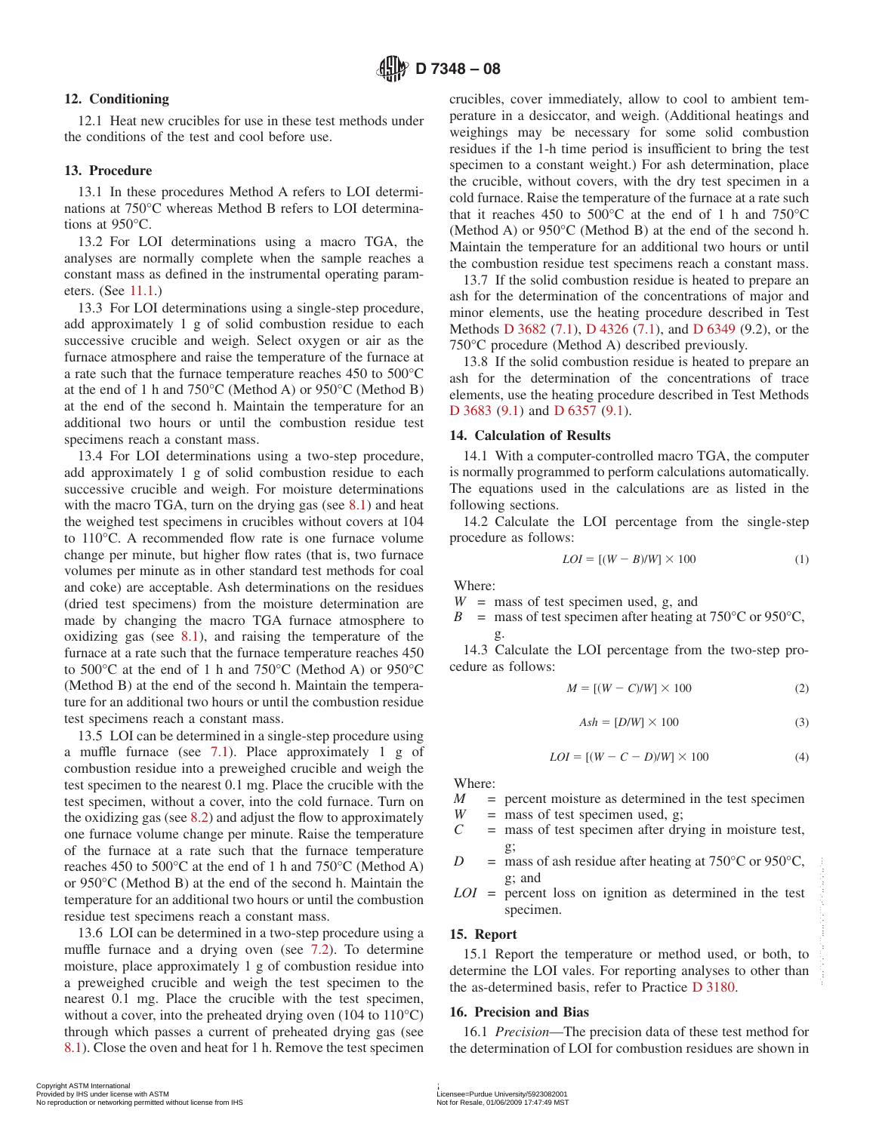#### **12. Conditioning**

12.1 Heat new crucibles for use in these test methods under the conditions of the test and cool before use.

#### **13. Procedure**

13.1 In these procedures Method A refers to LOI determinations at 750°C whereas Method B refers to LOI determinations at 950°C.

13.2 For LOI determinations using a macro TGA, the analyses are normally complete when the sample reaches a constant mass as defined in the instrumental operating parameters. (See [11.1.](#page-1-6))

13.3 For LOI determinations using a single-step procedure, add approximately 1 g of solid combustion residue to each successive crucible and weigh. Select oxygen or air as the furnace atmosphere and raise the temperature of the furnace at a rate such that the furnace temperature reaches 450 to 500°C at the end of 1 h and 750°C (Method A) or 950°C (Method B) at the end of the second h. Maintain the temperature for an additional two hours or until the combustion residue test specimens reach a constant mass.

13.4 For LOI determinations using a two-step procedure, add approximately 1 g of solid combustion residue to each successive crucible and weigh. For moisture determinations with the macro TGA, turn on the drying gas (see [8.1\)](#page-1-7) and heat the weighed test specimens in crucibles without covers at 104 to 110°C. A recommended flow rate is one furnace volume change per minute, but higher flow rates (that is, two furnace volumes per minute as in other standard test methods for coal and coke) are acceptable. Ash determinations on the residues (dried test specimens) from the moisture determination are made by changing the macro TGA furnace atmosphere to oxidizing gas (see [8.1\)](#page-1-7), and raising the temperature of the furnace at a rate such that the furnace temperature reaches 450 to 500°C at the end of 1 h and 750°C (Method A) or 950°C (Method B) at the end of the second h. Maintain the temperature for an additional two hours or until the combustion residue test specimens reach a constant mass.

13.5 LOI can be determined in a single-step procedure using a muffle furnace (see [7.1\)](#page-1-8). Place approximately 1 g of combustion residue into a preweighed crucible and weigh the test specimen to the nearest 0.1 mg. Place the crucible with the test specimen, without a cover, into the cold furnace. Turn on the oxidizing gas (see [8.2\)](#page-1-9) and adjust the flow to approximately one furnace volume change per minute. Raise the temperature of the furnace at a rate such that the furnace temperature reaches 450 to 500°C at the end of 1 h and 750°C (Method A) or 950°C (Method B) at the end of the second h. Maintain the temperature for an additional two hours or until the combustion residue test specimens reach a constant mass.

13.6 LOI can be determined in a two-step procedure using a muffle furnace and a drying oven (see [7.2\)](#page-1-10). To determine moisture, place approximately 1 g of combustion residue into a preweighed crucible and weigh the test specimen to the nearest 0.1 mg. Place the crucible with the test specimen, without a cover, into the preheated drying oven (104 to 110<sup>o</sup>C) through which passes a current of preheated drying gas (see [8.1\)](#page-1-7). Close the oven and heat for 1 h. Remove the test specimen reaches 450 to 500°C at the end of 1 h and 750°C (Method A)<br>
or 950°C (Method A)<br>
or 950°C (Method B) at the conductional the combustion<br>
temperature for an additional two hours or until the combustion<br>
temperature for an

crucibles, cover immediately, allow to cool to ambient temperature in a desiccator, and weigh. (Additional heatings and weighings may be necessary for some solid combustion residues if the 1-h time period is insufficient to bring the test specimen to a constant weight.) For ash determination, place the crucible, without covers, with the dry test specimen in a cold furnace. Raise the temperature of the furnace at a rate such that it reaches 450 to  $500^{\circ}$ C at the end of 1 h and  $750^{\circ}$ C (Method A) or 950°C (Method B) at the end of the second h. Maintain the temperature for an additional two hours or until the combustion residue test specimens reach a constant mass.

13.7 If the solid combustion residue is heated to prepare an ash for the determination of the concentrations of major and minor elements, use the heating procedure described in Test Methods [D 3682](#page-0-5) [\(7.1\)](#page-1-8), [D 4326](#page-0-6) [\(7.1\)](#page-1-8), and [D 6349](#page-0-7) (9.2), or the 750°C procedure (Method A) described previously.

<span id="page-2-1"></span>13.8 If the solid combustion residue is heated to prepare an ash for the determination of the concentrations of trace elements, use the heating procedure described in Test Methods [D 3683](#page-0-8) [\(9.1\)](#page-1-11) and [D 6357](#page-0-9) [\(9.1\)](#page-1-11).

#### <span id="page-2-2"></span>**14. Calculation of Results**

14.1 With a computer-controlled macro TGA, the computer is normally programmed to perform calculations automatically. The equations used in the calculations are as listed in the following sections.

14.2 Calculate the LOI percentage from the single-step procedure as follows:

$$
LOI = [(W - B)/W] \times 100 \tag{1}
$$

Where:

 $W =$  mass of test specimen used, g, and

*B* = mass of test specimen after heating at  $750^{\circ}$ C or  $950^{\circ}$ C, g.

14.3 Calculate the LOI percentage from the two-step procedure as follows:

$$
M = [(W - C)/W] \times 100 \tag{2}
$$

$$
Ash = [D/W] \times 100 \tag{3}
$$

$$
LOI = [(W - C - D)/W] \times 100 \tag{4}
$$

Where:

- $M =$  percent moisture as determined in the test specimen  $W =$  mass of test specimen used. g:
- $W =$  mass of test specimen used, g;<br> $C =$  mass of test specimen after dry
- = mass of test specimen after drying in moisture test, g;
- *D* = mass of ash residue after heating at  $750^{\circ}$ C or  $950^{\circ}$ C, g; and
- *LOI* = percent loss on ignition as determined in the test specimen.

#### **15. Report**

15.1 Report the temperature or method used, or both, to determine the LOI vales. For reporting analyses to other than the as-determined basis, refer to Practice [D 3180.](#page-0-10)

#### <span id="page-2-0"></span>**16. Precision and Bias**

16.1 *Precision*—The precision data of these test method for the determination of LOI for combustion residues are shown in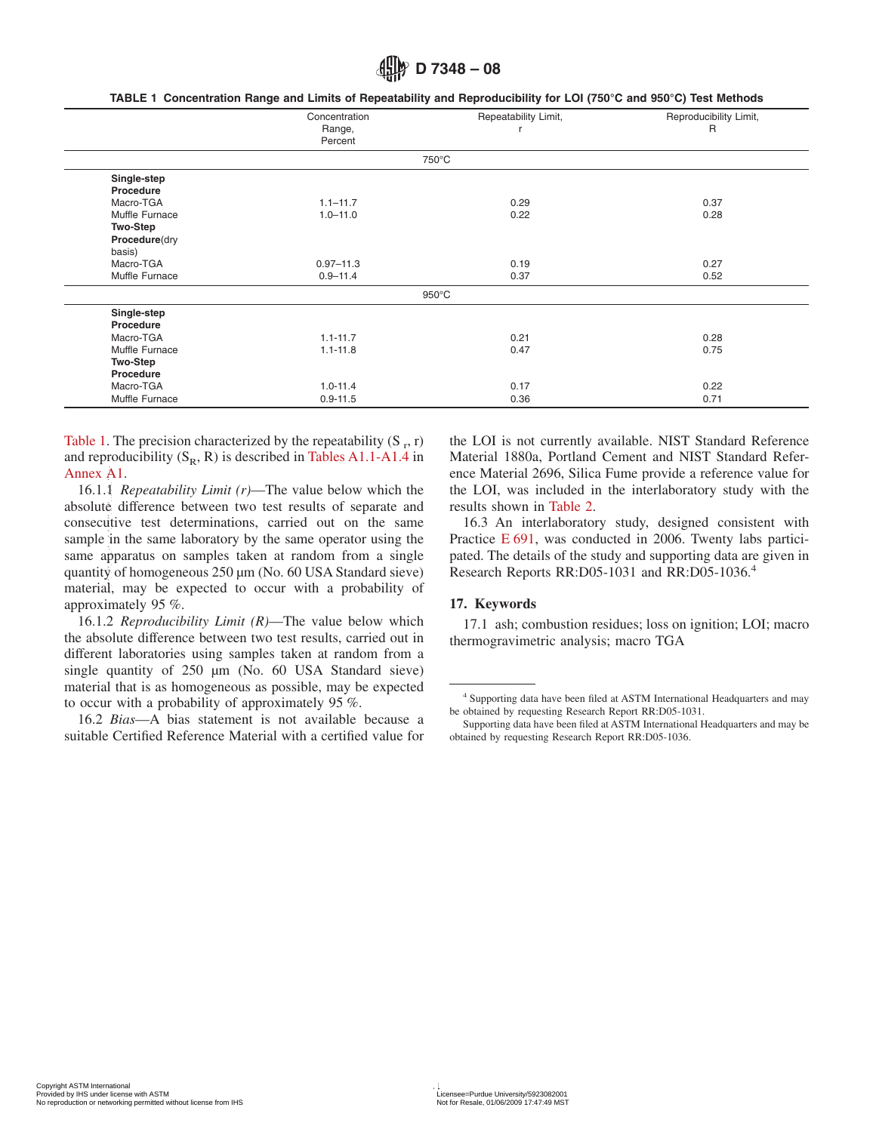|  | TABLE 1  Concentration Range and Limits of Repeatability and Reproducibility for LOI (750°C and 950°C) Test Methods |  |  |  |  |  |  |
|--|---------------------------------------------------------------------------------------------------------------------|--|--|--|--|--|--|
|--|---------------------------------------------------------------------------------------------------------------------|--|--|--|--|--|--|

|                 | Concentration<br>Range,<br>Percent | Repeatability Limit, | Reproducibility Limit,<br>R |
|-----------------|------------------------------------|----------------------|-----------------------------|
|                 |                                    | 750°C                |                             |
| Single-step     |                                    |                      |                             |
| Procedure       |                                    |                      |                             |
| Macro-TGA       | $1.1 - 11.7$                       | 0.29                 | 0.37                        |
| Muffle Furnace  | $1.0 - 11.0$                       | 0.22                 | 0.28                        |
| <b>Two-Step</b> |                                    |                      |                             |
| Procedure(dry   |                                    |                      |                             |
| basis)          |                                    |                      |                             |
| Macro-TGA       | $0.97 - 11.3$                      | 0.19                 | 0.27                        |
| Muffle Furnace  | $0.9 - 11.4$                       | 0.37                 | 0.52                        |
|                 |                                    | $950^{\circ}$ C      |                             |
| Single-step     |                                    |                      |                             |
| Procedure       |                                    |                      |                             |
| Macro-TGA       | $1.1 - 11.7$                       | 0.21                 | 0.28                        |
| Muffle Furnace  | $1.1 - 11.8$                       | 0.47                 | 0.75                        |
| <b>Two-Step</b> |                                    |                      |                             |
| Procedure       |                                    |                      |                             |
| Macro-TGA       | $1.0 - 11.4$                       | 0.17                 | 0.22                        |
| Muffle Furnace  | $0.9 - 11.5$                       | 0.36                 | 0.71                        |

[Table 1.](#page-3-1) The precision characterized by the repeatability  $(S_r, r)$ and reproducibility  $(S_R, R)$  is described in [Tables A1.1-A1.4](#page-5-0) in [Annex A1.](#page-4-0)

16.1.1 *Repeatability Limit (r)*—The value below which the absolute difference between two test results of separate and consecutive test determinations, carried out on the same sample in the same laboratory by the same operator using the same apparatus on samples taken at random from a single quantity of homogeneous 250 µm (No. 60 USA Standard sieve) material, may be expected to occur with a probability of approximately 95 %. Amex A1. Repeatability Limit (r)—The value below which the encoderated 2606,<br>the local shown in Table about difference between two test results of separate and results hown in Table<br>about difference between two test resul

16.1.2 *Reproducibility Limit (R)*—The value below which the absolute difference between two test results, carried out in different laboratories using samples taken at random from a single quantity of 250  $\mu$ m (No. 60 USA Standard sieve) material that is as homogeneous as possible, may be expected to occur with a probability of approximately 95 %.

16.2 *Bias*—A bias statement is not available because a suitable Certified Reference Material with a certified value for

<span id="page-3-1"></span>the LOI is not currently available. NIST Standard Reference Material 1880a, Portland Cement and NIST Standard Reference Material 2696, Silica Fume provide a reference value for the LOI, was included in the interlaboratory study with the results shown in [Table 2.](#page-4-1)

<span id="page-3-0"></span>16.3 An interlaboratory study, designed consistent with Practice [E 691,](#page-0-11) was conducted in 2006. Twenty labs participated. The details of the study and supporting data are given in Research Reports RR:D05-1031 and RR:D05-1036.4

#### **17. Keywords**

17.1 ash; combustion residues; loss on ignition; LOI; macro thermogravimetric analysis; macro TGA

<sup>4</sup> Supporting data have been filed at ASTM International Headquarters and may be obtained by requesting Research Report RR:D05-1031.

Supporting data have been filed at ASTM International Headquarters and may be obtained by requesting Research Report RR:D05-1036.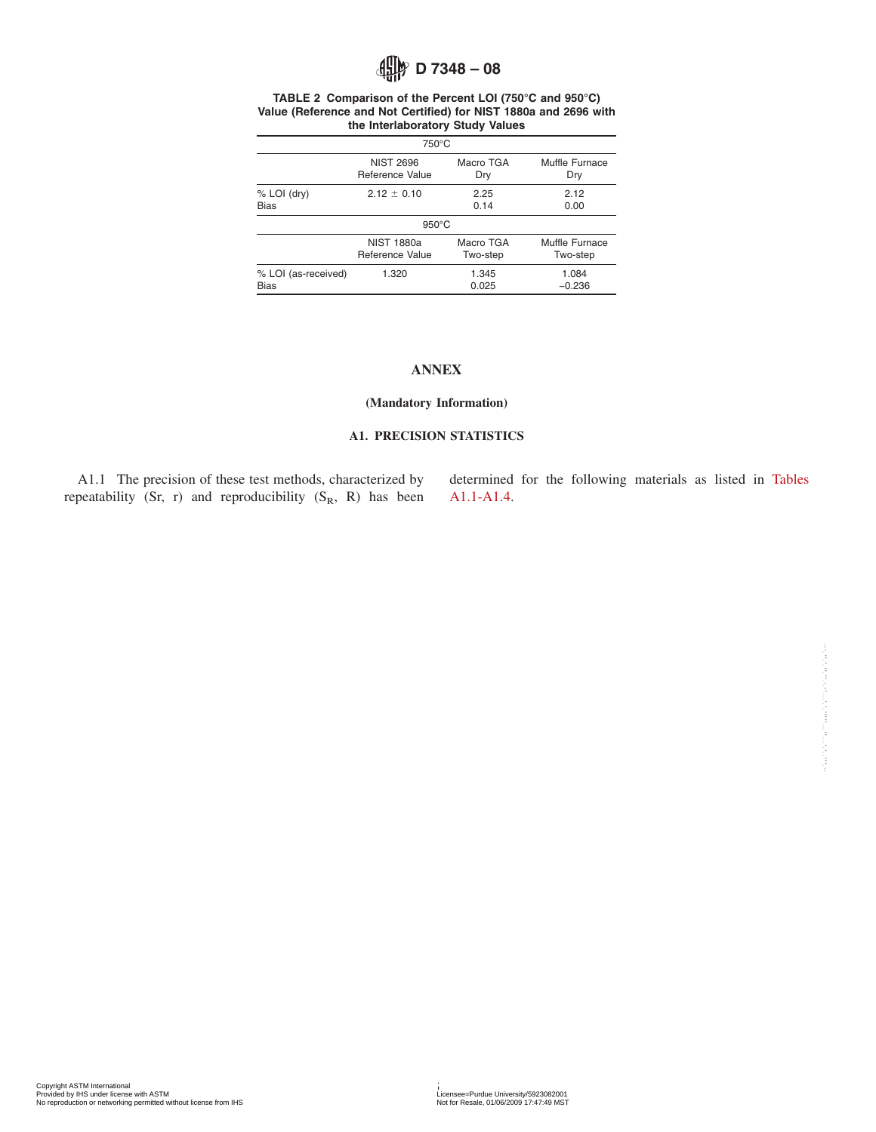#### **TABLE 2 Comparison of the Percent LOI (750°C and 950°C) Value (Reference and Not Certified) for NIST 1880a and 2696 with the Interlaboratory Study Values**

| $750^{\circ}$ C     |                   |           |                |  |  |
|---------------------|-------------------|-----------|----------------|--|--|
|                     | <b>NIST 2696</b>  | Macro TGA | Muffle Furnace |  |  |
|                     | Reference Value   | Dry       | Dry            |  |  |
| % LOI (dry)         | $2.12 \pm 0.10$   | 2.25      | 2.12           |  |  |
| <b>Bias</b>         |                   | 0.14      | 0.00           |  |  |
|                     | $950^{\circ}$ C   |           |                |  |  |
|                     | <b>NIST 1880a</b> | Macro TGA | Muffle Furnace |  |  |
|                     | Reference Value   | Two-step  | Two-step       |  |  |
| % LOI (as-received) | 1.320             | 1.345     | 1.084          |  |  |
| <b>Bias</b>         |                   | 0.025     | $-0.236$       |  |  |

#### <span id="page-4-1"></span>**ANNEX**

#### **(Mandatory Information)**

#### **A1. PRECISION STATISTICS**

A1.1 The precision of these test methods, characterized by repeatability (Sr, r) and reproducibility (S<sub>R</sub>, R) has been <span id="page-4-0"></span>determined for the following materials as listed in [Tables](#page-5-0) [A1.1-A1.4.](#page-5-0)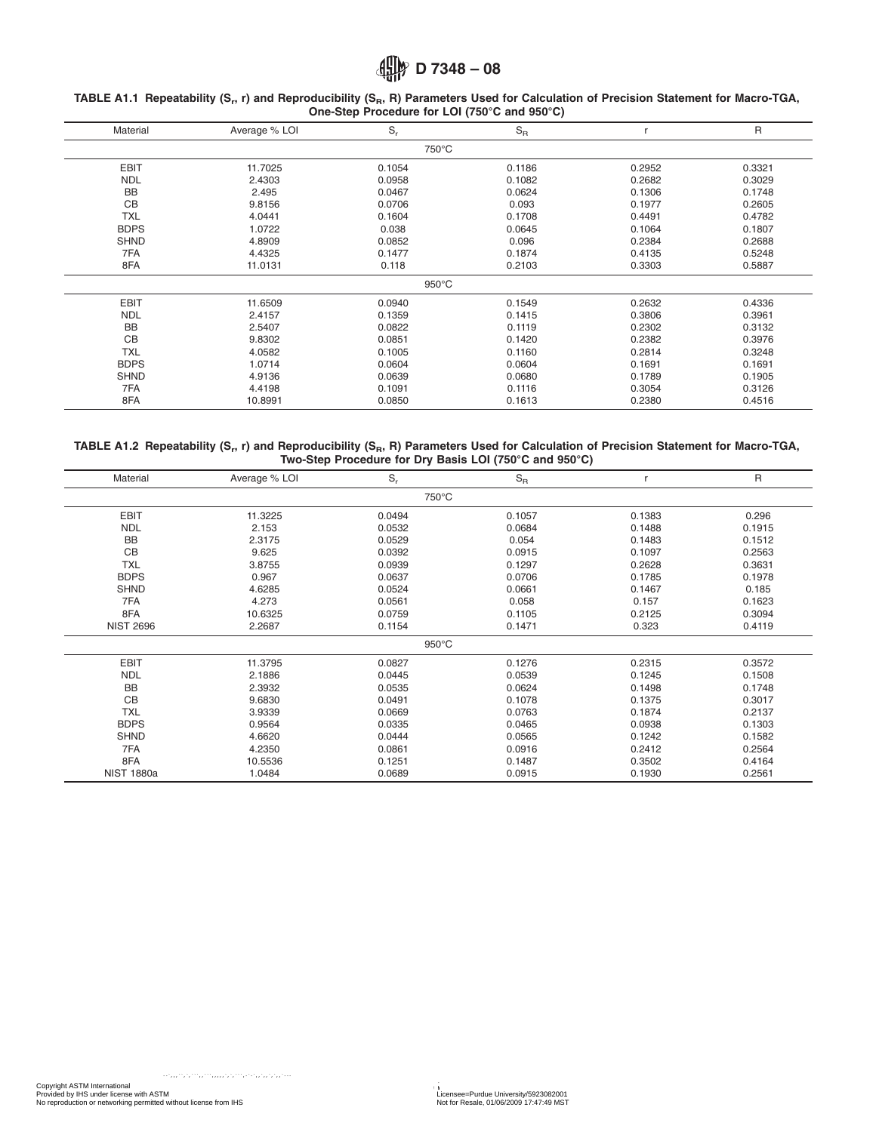#### <span id="page-5-0"></span>**TABLE A1.1 Repeatability (Sr, r) and Reproducibility (SR, R) Parameters Used for Calculation of Precision Statement for Macro-TGA, One-Step Procedure for LOI (750°C and 950°C)**

| Material    | Average % LOI | $S_r$           | $S_R$  |        | $\mathsf{R}$ |
|-------------|---------------|-----------------|--------|--------|--------------|
|             |               | 750°C           |        |        |              |
| <b>EBIT</b> | 11.7025       | 0.1054          | 0.1186 | 0.2952 | 0.3321       |
| <b>NDL</b>  | 2.4303        | 0.0958          | 0.1082 | 0.2682 | 0.3029       |
| <b>BB</b>   | 2.495         | 0.0467          | 0.0624 | 0.1306 | 0.1748       |
| <b>CB</b>   | 9.8156        | 0.0706          | 0.093  | 0.1977 | 0.2605       |
| <b>TXL</b>  | 4.0441        | 0.1604          | 0.1708 | 0.4491 | 0.4782       |
| <b>BDPS</b> | 1.0722        | 0.038           | 0.0645 | 0.1064 | 0.1807       |
| <b>SHND</b> | 4.8909        | 0.0852          | 0.096  | 0.2384 | 0.2688       |
| 7FA         | 4.4325        | 0.1477          | 0.1874 | 0.4135 | 0.5248       |
| 8FA         | 11.0131       | 0.118           | 0.2103 | 0.3303 | 0.5887       |
|             |               | $950^{\circ}$ C |        |        |              |
| <b>EBIT</b> | 11.6509       | 0.0940          | 0.1549 | 0.2632 | 0.4336       |
| <b>NDL</b>  | 2.4157        | 0.1359          | 0.1415 | 0.3806 | 0.3961       |
| <b>BB</b>   | 2.5407        | 0.0822          | 0.1119 | 0.2302 | 0.3132       |
| <b>CB</b>   | 9.8302        | 0.0851          | 0.1420 | 0.2382 | 0.3976       |
| <b>TXL</b>  | 4.0582        | 0.1005          | 0.1160 | 0.2814 | 0.3248       |
| <b>BDPS</b> | 1.0714        | 0.0604          | 0.0604 | 0.1691 | 0.1691       |
| <b>SHND</b> | 4.9136        | 0.0639          | 0.0680 | 0.1789 | 0.1905       |
| 7FA         | 4.4198        | 0.1091          | 0.1116 | 0.3054 | 0.3126       |
| 8FA         | 10.8991       | 0.0850          | 0.1613 | 0.2380 | 0.4516       |

#### **TABLE A1.2 Repeatability (Sr, r) and Reproducibility (SR, R) Parameters Used for Calculation of Precision Statement for Macro-TGA, Two-Step Procedure for Dry Basis LOI (750°C and 950°C)**

| Material          | Average % LOI | $S_r$           | $S_{\rm R}$ |        | R      |
|-------------------|---------------|-----------------|-------------|--------|--------|
|                   |               | 750°C           |             |        |        |
| <b>EBIT</b>       | 11.3225       | 0.0494          | 0.1057      | 0.1383 | 0.296  |
| <b>NDL</b>        | 2.153         | 0.0532          | 0.0684      | 0.1488 | 0.1915 |
| <b>BB</b>         | 2.3175        | 0.0529          | 0.054       | 0.1483 | 0.1512 |
| CB                | 9.625         | 0.0392          | 0.0915      | 0.1097 | 0.2563 |
| <b>TXL</b>        | 3.8755        | 0.0939          | 0.1297      | 0.2628 | 0.3631 |
| <b>BDPS</b>       | 0.967         | 0.0637          | 0.0706      | 0.1785 | 0.1978 |
| <b>SHND</b>       | 4.6285        | 0.0524          | 0.0661      | 0.1467 | 0.185  |
| 7FA               | 4.273         | 0.0561          | 0.058       | 0.157  | 0.1623 |
| 8FA               | 10.6325       | 0.0759          | 0.1105      | 0.2125 | 0.3094 |
| <b>NIST 2696</b>  | 2.2687        | 0.1154          | 0.1471      | 0.323  | 0.4119 |
|                   |               | $950^{\circ}$ C |             |        |        |
| <b>EBIT</b>       | 11.3795       | 0.0827          | 0.1276      | 0.2315 | 0.3572 |
| <b>NDL</b>        | 2.1886        | 0.0445          | 0.0539      | 0.1245 | 0.1508 |
| <b>BB</b>         | 2.3932        | 0.0535          | 0.0624      | 0.1498 | 0.1748 |
| <b>CB</b>         | 9.6830        | 0.0491          | 0.1078      | 0.1375 | 0.3017 |
| <b>TXL</b>        | 3.9339        | 0.0669          | 0.0763      | 0.1874 | 0.2137 |
| <b>BDPS</b>       | 0.9564        | 0.0335          | 0.0465      | 0.0938 | 0.1303 |
| <b>SHND</b>       | 4.6620        | 0.0444          | 0.0565      | 0.1242 | 0.1582 |
| 7FA               | 4.2350        | 0.0861          | 0.0916      | 0.2412 | 0.2564 |
| 8FA               | 10.5536       | 0.1251          | 0.1487      | 0.3502 | 0.4164 |
| <b>NIST 1880a</b> | 1.0484        | 0.0689          | 0.0915      | 0.1930 | 0.2561 |